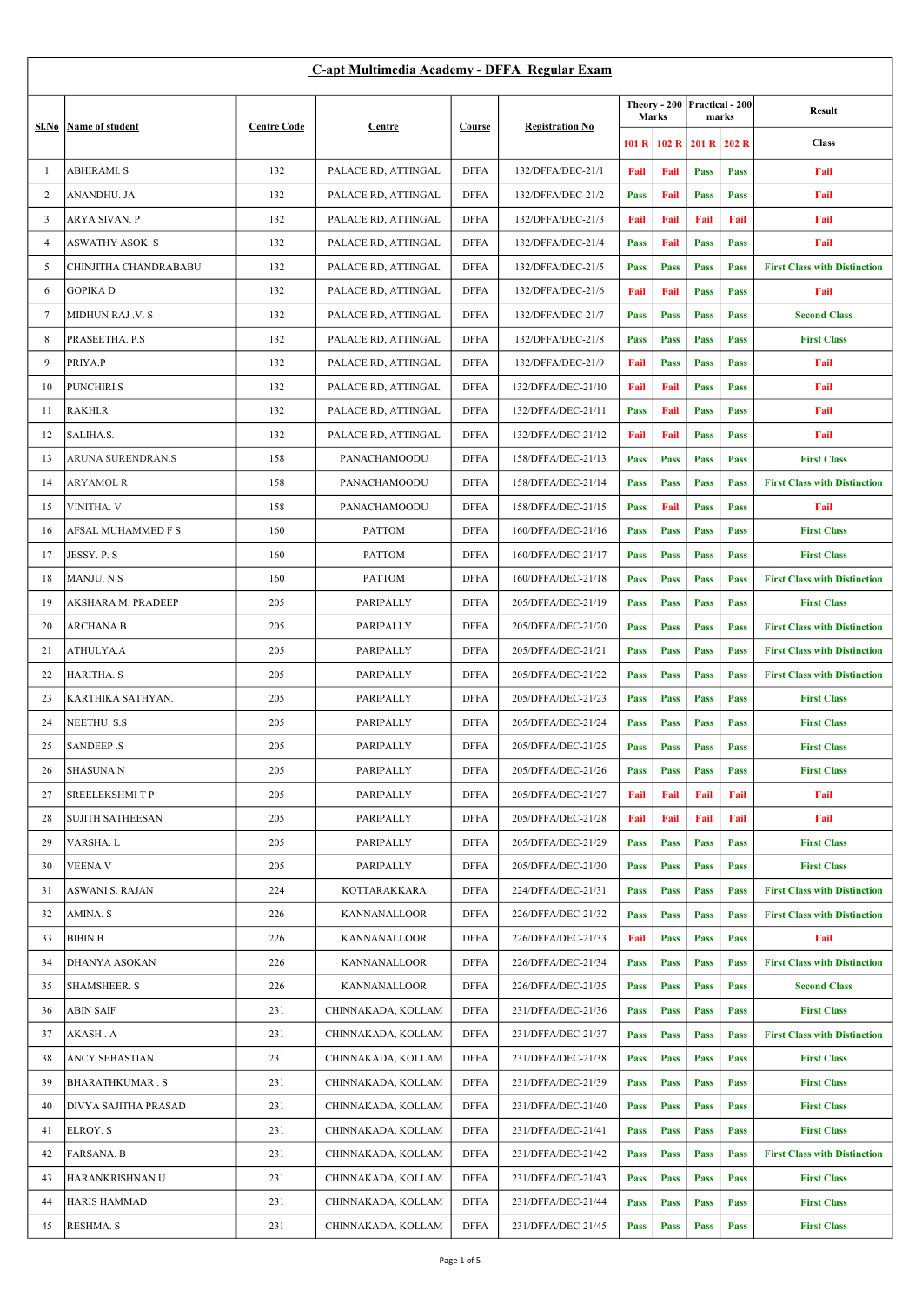| C-apt Multimedia Academy - DFFA Regular Exam |                         |                    |                     |             |                        |               |      |                                       |             |                                     |
|----------------------------------------------|-------------------------|--------------------|---------------------|-------------|------------------------|---------------|------|---------------------------------------|-------------|-------------------------------------|
|                                              | Name of student         | <b>Centre Code</b> | Centre              | Course      |                        | Marks         |      | Theory - 200 Practical - 200<br>marks |             | <b>Result</b>                       |
| Sl.No                                        |                         |                    |                     |             | <b>Registration No</b> | 101R<br>102 R |      |                                       | 201 R 202 R | <b>Class</b>                        |
| -1                                           | <b>ABHIRAMI. S</b>      | 132                | PALACE RD, ATTINGAL | <b>DFFA</b> | 132/DFFA/DEC-21/1      | Fail          | Fail | Pass                                  | Pass        | Fail                                |
| 2                                            | ANANDHU. JA             | 132                | PALACE RD, ATTINGAL | <b>DFFA</b> | 132/DFFA/DEC-21/2      | Pass          | Fail | Pass                                  | Pass        | Fail                                |
| 3                                            | ARYA SIVAN. P           | 132                | PALACE RD, ATTINGAL | <b>DFFA</b> | 132/DFFA/DEC-21/3      | Fail          | Fail | Fail                                  | Fail        | Fail                                |
| 4                                            | ASWATHY ASOK. S         | 132                | PALACE RD, ATTINGAL | <b>DFFA</b> | 132/DFFA/DEC-21/4      | Pass          | Fail | Pass                                  | Pass        | Fail                                |
| 5                                            | CHINJITHA CHANDRABABU   | 132                | PALACE RD, ATTINGAL | <b>DFFA</b> | 132/DFFA/DEC-21/5      | Pass          | Pass | Pass                                  | Pass        | <b>First Class with Distinction</b> |
| 6                                            | <b>GOPIKAD</b>          | 132                | PALACE RD, ATTINGAL | <b>DFFA</b> | 132/DFFA/DEC-21/6      | Fail          | Fail | Pass                                  | Pass        | Fail                                |
| $\tau$                                       | MIDHUN RAJ .V. S        | 132                | PALACE RD, ATTINGAL | <b>DFFA</b> | 132/DFFA/DEC-21/7      | Pass          | Pass | Pass                                  | Pass        | <b>Second Class</b>                 |
| 8                                            | PRASEETHA. P.S          | 132                | PALACE RD, ATTINGAL | <b>DFFA</b> | 132/DFFA/DEC-21/8      | Pass          | Pass | Pass                                  | Pass        | <b>First Class</b>                  |
| 9                                            | PRIYA.P                 | 132                | PALACE RD, ATTINGAL | <b>DFFA</b> | 132/DFFA/DEC-21/9      | Fail          | Pass | Pass                                  | Pass        | Fail                                |
| 10                                           | PUNCHIRI.S              | 132                | PALACE RD, ATTINGAL | <b>DFFA</b> | 132/DFFA/DEC-21/10     | Fail          | Fail | Pass                                  | Pass        | Fail                                |
| 11                                           | <b>RAKHI.R</b>          | 132                | PALACE RD, ATTINGAL | <b>DFFA</b> | 132/DFFA/DEC-21/11     | Pass          | Fail | Pass                                  | Pass        | Fail                                |
| 12                                           | SALIHA.S.               | 132                | PALACE RD, ATTINGAL | <b>DFFA</b> | 132/DFFA/DEC-21/12     | Fail          | Fail | Pass                                  | Pass        | Fail                                |
| 13                                           | ARUNA SURENDRAN.S       | 158                | PANACHAMOODU        | <b>DFFA</b> | 158/DFFA/DEC-21/13     | Pass          | Pass | Pass                                  | Pass        | <b>First Class</b>                  |
| 14                                           | ARYAMOL R               | 158                | PANACHAMOODU        | <b>DFFA</b> | 158/DFFA/DEC-21/14     | Pass          | Pass | Pass                                  | Pass        | <b>First Class with Distinction</b> |
| 15                                           | VINITHA. V              | 158                | PANACHAMOODU        | <b>DFFA</b> | 158/DFFA/DEC-21/15     | Pass          | Fail | Pass                                  | Pass        | Fail                                |
| 16                                           | AFSAL MUHAMMED F S      | 160                | <b>PATTOM</b>       | <b>DFFA</b> | 160/DFFA/DEC-21/16     | Pass          | Pass | Pass                                  | Pass        | <b>First Class</b>                  |
| 17                                           | JESSY. P. S             | 160                | <b>PATTOM</b>       | <b>DFFA</b> | 160/DFFA/DEC-21/17     | Pass          | Pass | <b>Pass</b>                           | Pass        | <b>First Class</b>                  |
| 18                                           | MANJU. N.S              | 160                | <b>PATTOM</b>       | <b>DFFA</b> | 160/DFFA/DEC-21/18     | Pass          | Pass | Pass                                  | Pass        | <b>First Class with Distinction</b> |
| 19                                           | AKSHARA M. PRADEEP      | 205                | PARIPALLY           | <b>DFFA</b> | 205/DFFA/DEC-21/19     | Pass          | Pass | Pass                                  | Pass        | <b>First Class</b>                  |
| 20                                           | ARCHANA.B               | 205                | PARIPALLY           | <b>DFFA</b> | 205/DFFA/DEC-21/20     | Pass          | Pass | Pass                                  | Pass        | <b>First Class with Distinction</b> |
| 21                                           | ATHULYA.A               | 205                | PARIPALLY           | <b>DFFA</b> | 205/DFFA/DEC-21/21     | Pass          | Pass | <b>Pass</b>                           | Pass        | <b>First Class with Distinction</b> |
| 22                                           | HARITHA. S              | 205                | PARIPALLY           | <b>DFFA</b> | 205/DFFA/DEC-21/22     | Pass          | Pass | Pass                                  | Pass        | <b>First Class with Distinction</b> |
| 23                                           | KARTHIKA SATHYAN.       | 205                | PARIPALLY           | <b>DFFA</b> | 205/DFFA/DEC-21/23     | Pass          | Pass | Pass                                  | Pass        | <b>First Class</b>                  |
| 24                                           | NEETHU. S.S             | 205                | PARIPALLY           | <b>DFFA</b> | 205/DFFA/DEC-21/24     | Pass          | Pass | Pass                                  | Pass        | <b>First Class</b>                  |
| 25                                           | <b>SANDEEP .S</b>       | 205                | PARIPALLY           | <b>DFFA</b> | 205/DFFA/DEC-21/25     | Pass          | Pass | Pass                                  | Pass        | <b>First Class</b>                  |
| 26                                           | SHASUNA.N               | 205                | PARIPALLY           | <b>DFFA</b> | 205/DFFA/DEC-21/26     | Pass          | Pass | Pass                                  | Pass        | <b>First Class</b>                  |
| 27                                           | SREELEKSHMITP           | 205                | PARIPALLY           | <b>DFFA</b> | 205/DFFA/DEC-21/27     | Fail          | Fail | Fail                                  | Fail        | Fail                                |
| 28                                           | <b>SUJITH SATHEESAN</b> | 205                | PARIPALLY           | <b>DFFA</b> | 205/DFFA/DEC-21/28     | Fail          | Fail | Fail                                  | Fail        | Fail                                |
| 29                                           | VARSHA. L               | 205                | PARIPALLY           | <b>DFFA</b> | 205/DFFA/DEC-21/29     | Pass          | Pass | Pass                                  | Pass        | <b>First Class</b>                  |
| 30                                           | VEENA V                 | 205                | PARIPALLY           | <b>DFFA</b> | 205/DFFA/DEC-21/30     | Pass          | Pass | Pass                                  | Pass        | <b>First Class</b>                  |
| 31                                           | ASWANI S. RAJAN         | 224                | KOTTARAKKARA        | <b>DFFA</b> | 224/DFFA/DEC-21/31     | Pass          | Pass | Pass                                  | Pass        | <b>First Class with Distinction</b> |
| 32                                           | AMINA. S                | 226                | KANNANALLOOR        | <b>DFFA</b> | 226/DFFA/DEC-21/32     | Pass          | Pass | Pass                                  | Pass        | <b>First Class with Distinction</b> |
| 33                                           | <b>BIBIN B</b>          | 226                | KANNANALLOOR        | <b>DFFA</b> | 226/DFFA/DEC-21/33     | Fail          | Pass | Pass                                  | Pass        | Fail                                |
| 34                                           | DHANYA ASOKAN           | 226                | KANNANALLOOR        | <b>DFFA</b> | 226/DFFA/DEC-21/34     | Pass          | Pass | Pass                                  | Pass        | <b>First Class with Distinction</b> |
| 35                                           | <b>SHAMSHEER. S</b>     | 226                | KANNANALLOOR        | <b>DFFA</b> | 226/DFFA/DEC-21/35     | Pass          | Pass | Pass                                  | Pass        | <b>Second Class</b>                 |
| 36                                           | ABIN SAIF               | 231                | CHINNAKADA, KOLLAM  | <b>DFFA</b> | 231/DFFA/DEC-21/36     | Pass          | Pass | Pass                                  | Pass        | <b>First Class</b>                  |
| 37                                           | AKASH . A               | 231                | CHINNAKADA, KOLLAM  | <b>DFFA</b> | 231/DFFA/DEC-21/37     | Pass          | Pass | Pass                                  | Pass        | <b>First Class with Distinction</b> |
| 38                                           | ANCY SEBASTIAN          | 231                | CHINNAKADA, KOLLAM  | <b>DFFA</b> | 231/DFFA/DEC-21/38     | Pass          | Pass | Pass                                  | Pass        | <b>First Class</b>                  |
| 39                                           | <b>BHARATHKUMAR.S</b>   | 231                | CHINNAKADA, KOLLAM  | <b>DFFA</b> | 231/DFFA/DEC-21/39     | Pass          | Pass | Pass                                  | Pass        | <b>First Class</b>                  |
| 40                                           | DIVYA SAJITHA PRASAD    | 231                | CHINNAKADA, KOLLAM  | <b>DFFA</b> | 231/DFFA/DEC-21/40     | Pass          | Pass | Pass                                  | Pass        | <b>First Class</b>                  |
| 41                                           | ELROY. S                | 231                | CHINNAKADA, KOLLAM  | <b>DFFA</b> | 231/DFFA/DEC-21/41     | Pass          | Pass | Pass                                  | Pass        | <b>First Class</b>                  |
| 42                                           | FARSANA. B              | 231                | CHINNAKADA, KOLLAM  | <b>DFFA</b> | 231/DFFA/DEC-21/42     | Pass          | Pass | Pass                                  | Pass        | <b>First Class with Distinction</b> |
| 43                                           | HARANKRISHNAN.U         | 231                | CHINNAKADA, KOLLAM  | <b>DFFA</b> | 231/DFFA/DEC-21/43     | Pass          | Pass | Pass                                  | Pass        | <b>First Class</b>                  |
| 44                                           | <b>HARIS HAMMAD</b>     | 231                | CHINNAKADA, KOLLAM  | <b>DFFA</b> | 231/DFFA/DEC-21/44     | Pass          | Pass | Pass                                  | Pass        | <b>First Class</b>                  |
| 45                                           | RESHMA. S               | 231                | CHINNAKADA, KOLLAM  | <b>DFFA</b> | 231/DFFA/DEC-21/45     | Pass          | Pass | Pass                                  | Pass        | <b>First Class</b>                  |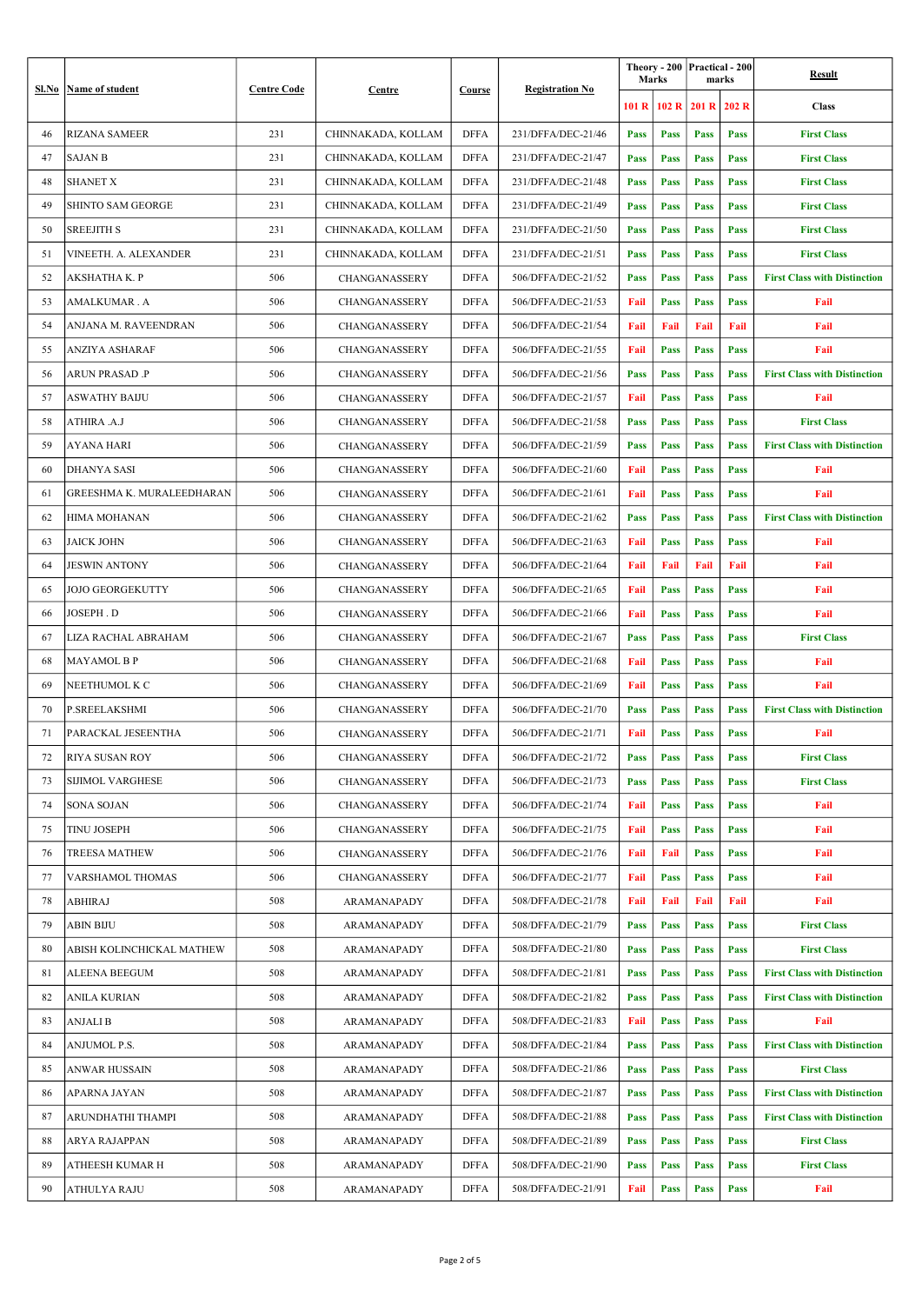|    | Sl.No   Name of student   | <b>Centre Code</b> | Centre               | Course      |                        | Marks       |       | Theory - 200   Practical - 200 <br>marks |      | Result                              |
|----|---------------------------|--------------------|----------------------|-------------|------------------------|-------------|-------|------------------------------------------|------|-------------------------------------|
|    |                           |                    |                      |             | <b>Registration No</b> | 101 R       | 102 R | 201 R 202 R                              |      | <b>Class</b>                        |
| 46 | <b>RIZANA SAMEER</b>      | 231                | CHINNAKADA, KOLLAM   | <b>DFFA</b> | 231/DFFA/DEC-21/46     | Pass        | Pass  | Pass                                     | Pass | <b>First Class</b>                  |
| 47 | <b>SAJAN B</b>            | 231                | CHINNAKADA, KOLLAM   | <b>DFFA</b> | 231/DFFA/DEC-21/47     | <b>Pass</b> | Pass  | Pass                                     | Pass | <b>First Class</b>                  |
| 48 | <b>SHANET X</b>           | 231                | CHINNAKADA, KOLLAM   | <b>DFFA</b> | 231/DFFA/DEC-21/48     | <b>Pass</b> | Pass  | Pass                                     | Pass | <b>First Class</b>                  |
| 49 | <b>SHINTO SAM GEORGE</b>  | 231                | CHINNAKADA, KOLLAM   | <b>DFFA</b> | 231/DFFA/DEC-21/49     | <b>Pass</b> | Pass  | Pass                                     | Pass | <b>First Class</b>                  |
| 50 | <b>SREEJITH S</b>         | 231                | CHINNAKADA, KOLLAM   | <b>DFFA</b> | 231/DFFA/DEC-21/50     | Pass        | Pass  | Pass                                     | Pass | <b>First Class</b>                  |
| 51 | VINEETH. A. ALEXANDER     | 231                | CHINNAKADA, KOLLAM   | <b>DFFA</b> | 231/DFFA/DEC-21/51     | <b>Pass</b> | Pass  | Pass                                     | Pass | <b>First Class</b>                  |
| 52 | AKSHATHA K. P             | 506                | CHANGANASSERY        | <b>DFFA</b> | 506/DFFA/DEC-21/52     | <b>Pass</b> | Pass  | Pass                                     | Pass | <b>First Class with Distinction</b> |
| 53 | AMALKUMAR.A               | 506                | CHANGANASSERY        | <b>DFFA</b> | 506/DFFA/DEC-21/53     | Fail        | Pass  | Pass                                     | Pass | Fail                                |
| 54 | ANJANA M. RAVEENDRAN      | 506                | CHANGANASSERY        | <b>DFFA</b> | 506/DFFA/DEC-21/54     | Fail        | Fail  | Fail                                     | Fail | Fail                                |
| 55 | ANZIYA ASHARAF            | 506                | CHANGANASSERY        | <b>DFFA</b> | 506/DFFA/DEC-21/55     | Fail        | Pass  | Pass                                     | Pass | Fail                                |
| 56 | ARUN PRASAD .P            | 506                | CHANGANASSERY        | DFFA        | 506/DFFA/DEC-21/56     | <b>Pass</b> | Pass  | Pass                                     | Pass | <b>First Class with Distinction</b> |
| 57 | ASWATHY BAIJU             | 506                | CHANGANASSERY        | <b>DFFA</b> | 506/DFFA/DEC-21/57     | Fail        | Pass  | Pass                                     | Pass | Fail                                |
| 58 | ATHIRA .A.J               | 506                | CHANGANASSERY        | <b>DFFA</b> | 506/DFFA/DEC-21/58     | <b>Pass</b> | Pass  | Pass                                     | Pass | <b>First Class</b>                  |
| 59 | AYANA HARI                | 506                | CHANGANASSERY        | <b>DFFA</b> | 506/DFFA/DEC-21/59     | Pass        | Pass  | Pass                                     | Pass | <b>First Class with Distinction</b> |
| 60 | <b>DHANYA SASI</b>        | 506                | <b>CHANGANASSERY</b> | <b>DFFA</b> | 506/DFFA/DEC-21/60     | Fail        | Pass  | Pass                                     | Pass | Fail                                |
| 61 | GREESHMA K. MURALEEDHARAN | 506                | CHANGANASSERY        | <b>DFFA</b> | 506/DFFA/DEC-21/61     | Fail        | Pass  | Pass                                     | Pass | Fail                                |
| 62 | HIMA MOHANAN              | 506                | CHANGANASSERY        | <b>DFFA</b> | 506/DFFA/DEC-21/62     | <b>Pass</b> | Pass  | Pass                                     | Pass | <b>First Class with Distinction</b> |
| 63 | JAICK JOHN                | 506                | CHANGANASSERY        | <b>DFFA</b> | 506/DFFA/DEC-21/63     | Fail        | Pass  | Pass                                     | Pass | Fail                                |
| 64 | JESWIN ANTONY             | 506                | <b>CHANGANASSERY</b> | DFFA        | 506/DFFA/DEC-21/64     | Fail        | Fail  | Fail                                     | Fail | Fail                                |
| 65 | JOJO GEORGEKUTTY          | 506                | CHANGANASSERY        | <b>DFFA</b> | 506/DFFA/DEC-21/65     | Fail        | Pass  | Pass                                     | Pass | Fail                                |
| 66 | JOSEPH . D                | 506                | CHANGANASSERY        | <b>DFFA</b> | 506/DFFA/DEC-21/66     | Fail        | Pass  | Pass                                     | Pass | Fail                                |
| 67 | LIZA RACHAL ABRAHAM       | 506                | <b>CHANGANASSERY</b> | <b>DFFA</b> | 506/DFFA/DEC-21/67     | Pass        | Pass  | Pass                                     | Pass | <b>First Class</b>                  |
| 68 | MAYAMOL B P               | 506                | CHANGANASSERY        | <b>DFFA</b> | 506/DFFA/DEC-21/68     | Fail        | Pass  | Pass                                     | Pass | Fail                                |
| 69 | NEETHUMOL K C             | 506                | CHANGANASSERY        | <b>DFFA</b> | 506/DFFA/DEC-21/69     | Fail        | Pass  | Pass                                     | Pass | Fail                                |
| 70 | P.SREELAKSHMI             | 506                | <b>CHANGANASSERY</b> | <b>DFFA</b> | 506/DFFA/DEC-21/70     | <b>Pass</b> | Pass  | Pass                                     | Pass | <b>First Class with Distinction</b> |
| 71 | PARACKAL JESEENTHA        | 506                | CHANGANASSERY        | <b>DFFA</b> | 506/DFFA/DEC-21/71     | Fail        | Pass  | Pass                                     | Pass | Fail                                |
| 72 | <b>RIYA SUSAN ROY</b>     | 506                | CHANGANASSERY        | DFFA        | 506/DFFA/DEC-21/72     | Pass        | Pass  | Pass                                     | Pass | <b>First Class</b>                  |
| 73 | <b>SIJIMOL VARGHESE</b>   | 506                | CHANGANASSERY        | <b>DFFA</b> | 506/DFFA/DEC-21/73     | Pass        | Pass  | Pass                                     | Pass | <b>First Class</b>                  |
| 74 | SONA SOJAN                | 506                | CHANGANASSERY        | DFFA        | 506/DFFA/DEC-21/74     | Fail        | Pass  | Pass                                     | Pass | Fail                                |
| 75 | <b>TINU JOSEPH</b>        | 506                | CHANGANASSERY        | DFFA        | 506/DFFA/DEC-21/75     | Fail        | Pass  | Pass                                     | Pass | Fail                                |
| 76 | <b>TREESA MATHEW</b>      | 506                | <b>CHANGANASSERY</b> | DFFA        | 506/DFFA/DEC-21/76     | Fail        | Fail  | Pass                                     | Pass | Fail                                |
| 77 | VARSHAMOL THOMAS          | 506                | CHANGANASSERY        | <b>DFFA</b> | 506/DFFA/DEC-21/77     | Fail        | Pass  | Pass                                     | Pass | Fail                                |
| 78 | <b>ABHIRAJ</b>            | 508                | ARAMANAPADY          | DFFA        | 508/DFFA/DEC-21/78     | Fail        | Fail  | Fail                                     | Fail | Fail                                |
| 79 | <b>ABIN BIJU</b>          | 508                | <b>ARAMANAPADY</b>   | <b>DFFA</b> | 508/DFFA/DEC-21/79     | Pass        | Pass  | Pass                                     | Pass | <b>First Class</b>                  |
| 80 | ABISH KOLINCHICKAL MATHEW | 508                | ARAMANAPADY          | <b>DFFA</b> | 508/DFFA/DEC-21/80     | Pass        | Pass  | Pass                                     | Pass | <b>First Class</b>                  |
| 81 | ALEENA BEEGUM             | 508                | ARAMANAPADY          | <b>DFFA</b> | 508/DFFA/DEC-21/81     | Pass        | Pass  | Pass                                     | Pass | <b>First Class with Distinction</b> |
| 82 | ANILA KURIAN              | 508                | ARAMANAPADY          | DFFA        | 508/DFFA/DEC-21/82     | Pass        | Pass  | Pass                                     | Pass | <b>First Class with Distinction</b> |
| 83 | ANJALI B                  | 508                | ARAMANAPADY          | <b>DFFA</b> | 508/DFFA/DEC-21/83     | Fail        | Pass  | Pass                                     | Pass | Fail                                |
| 84 | ANJUMOL P.S.              | 508                | ARAMANAPADY          | <b>DFFA</b> | 508/DFFA/DEC-21/84     | Pass        | Pass  | Pass                                     | Pass | <b>First Class with Distinction</b> |
| 85 | ANWAR HUSSAIN             | 508                | ARAMANAPADY          | <b>DFFA</b> | 508/DFFA/DEC-21/86     | Pass        | Pass  | Pass                                     | Pass | <b>First Class</b>                  |
| 86 | <b>APARNA JAYAN</b>       | 508                | ARAMANAPADY          | <b>DFFA</b> | 508/DFFA/DEC-21/87     | Pass        | Pass  | Pass                                     | Pass | <b>First Class with Distinction</b> |
| 87 | ARUNDHATHI THAMPI         | 508                | ARAMANAPADY          | DFFA        | 508/DFFA/DEC-21/88     | Pass        | Pass  | Pass                                     | Pass | <b>First Class with Distinction</b> |
| 88 | ARYA RAJAPPAN             | 508                | ARAMANAPADY          | <b>DFFA</b> | 508/DFFA/DEC-21/89     | Pass        | Pass  | Pass                                     | Pass | <b>First Class</b>                  |
| 89 | <b>ATHEESH KUMAR H</b>    | 508                | ARAMANAPADY          | <b>DFFA</b> | 508/DFFA/DEC-21/90     | Pass        | Pass  | Pass                                     | Pass | <b>First Class</b>                  |
| 90 | <b>ATHULYA RAJU</b>       | 508                | ARAMANAPADY          | <b>DFFA</b> | 508/DFFA/DEC-21/91     | Fail        | Pass  | Pass                                     | Pass | Fail                                |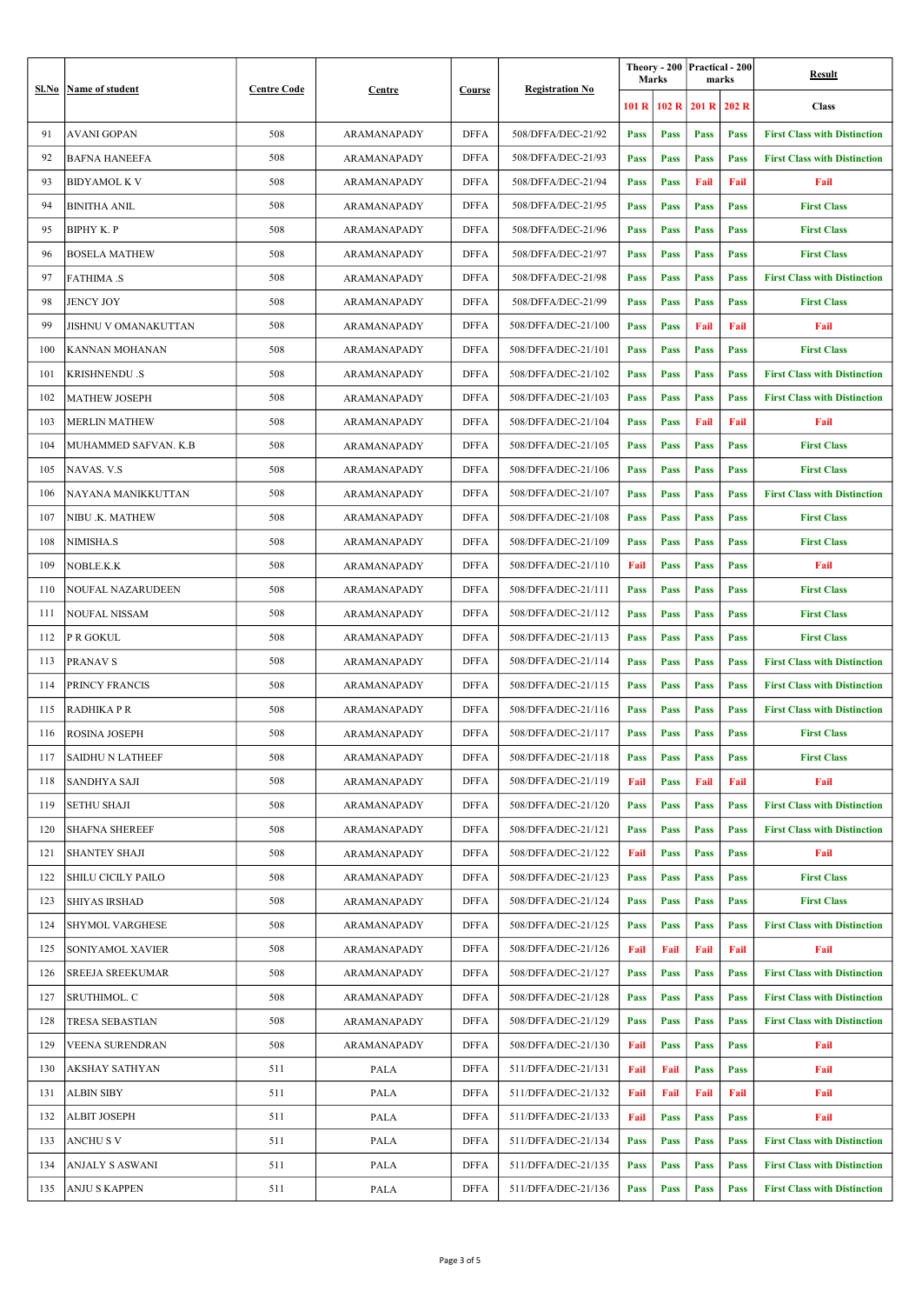|     | <b>Sl.No</b> Name of student | <b>Centre Code</b> | Centre             | Course      |                        | Marks       |       | Theory - 200 Practical - 200<br>marks |      | Result                              |
|-----|------------------------------|--------------------|--------------------|-------------|------------------------|-------------|-------|---------------------------------------|------|-------------------------------------|
|     |                              |                    |                    |             | <b>Registration No</b> | 101 R       | 102 R | $201 R$ 202 R                         |      | <b>Class</b>                        |
| 91  | <b>AVANI GOPAN</b>           | 508                | ARAMANAPADY        | DFFA        | 508/DFFA/DEC-21/92     | Pass        | Pass  | Pass                                  | Pass | <b>First Class with Distinction</b> |
| 92  | <b>BAFNA HANEEFA</b>         | 508                | <b>ARAMANAPADY</b> | DFFA        | 508/DFFA/DEC-21/93     | Pass        | Pass  | Pass                                  | Pass | <b>First Class with Distinction</b> |
| 93  | BIDYAMOL K V                 | 508                | ARAMANAPADY        | <b>DFFA</b> | 508/DFFA/DEC-21/94     | <b>Pass</b> | Pass  | Fail                                  | Fail | Fail                                |
| 94  | <b>BINITHA ANIL</b>          | 508                | ARAMANAPADY        | <b>DFFA</b> | 508/DFFA/DEC-21/95     | Pass        | Pass  | Pass                                  | Pass | <b>First Class</b>                  |
| 95  | <b>BIPHY K.P</b>             | 508                | ARAMANAPADY        | <b>DFFA</b> | 508/DFFA/DEC-21/96     | Pass        | Pass  | Pass                                  | Pass | <b>First Class</b>                  |
| 96  | BOSELA MATHEW                | 508                | ARAMANAPADY        | <b>DFFA</b> | 508/DFFA/DEC-21/97     | Pass        | Pass  | Pass                                  | Pass | <b>First Class</b>                  |
| 97  | <b>FATHIMA .S</b>            | 508                | ARAMANAPADY        | <b>DFFA</b> | 508/DFFA/DEC-21/98     | <b>Pass</b> | Pass  | Pass                                  | Pass | <b>First Class with Distinction</b> |
| 98  | <b>JENCY JOY</b>             | 508                | ARAMANAPADY        | <b>DFFA</b> | 508/DFFA/DEC-21/99     | Pass        | Pass  | Pass                                  | Pass | <b>First Class</b>                  |
| 99  | JISHNU V OMANAKUTTAN         | 508                | ARAMANAPADY        | <b>DFFA</b> | 508/DFFA/DEC-21/100    | <b>Pass</b> | Pass  | Fail                                  | Fail | Fail                                |
| 100 | KANNAN MOHANAN               | 508                | ARAMANAPADY        | <b>DFFA</b> | 508/DFFA/DEC-21/101    | <b>Pass</b> | Pass  | Pass                                  | Pass | <b>First Class</b>                  |
| 101 | <b>KRISHNENDU .S</b>         | 508                | <b>ARAMANAPADY</b> | DFFA        | 508/DFFA/DEC-21/102    | Pass        | Pass  | Pass                                  | Pass | <b>First Class with Distinction</b> |
| 102 | <b>MATHEW JOSEPH</b>         | 508                | <b>ARAMANAPADY</b> | <b>DFFA</b> | 508/DFFA/DEC-21/103    | Pass        | Pass  | Pass                                  | Pass | <b>First Class with Distinction</b> |
| 103 | MERLIN MATHEW                | 508                | ARAMANAPADY        | <b>DFFA</b> | 508/DFFA/DEC-21/104    | Pass        | Pass  | Fail                                  | Fail | Fail                                |
| 104 | MUHAMMED SAFVAN. K.B         | 508                | <b>ARAMANAPADY</b> | <b>DFFA</b> | 508/DFFA/DEC-21/105    | Pass        | Pass  | Pass                                  | Pass | <b>First Class</b>                  |
| 105 | NAVAS. V.S                   | 508                | ARAMANAPADY        | <b>DFFA</b> | 508/DFFA/DEC-21/106    | Pass        | Pass  | Pass                                  | Pass | <b>First Class</b>                  |
| 106 | NAYANA MANIKKUTTAN           | 508                | ARAMANAPADY        | <b>DFFA</b> | 508/DFFA/DEC-21/107    | Pass        | Pass  | Pass                                  | Pass | <b>First Class with Distinction</b> |
| 107 | NIBU .K. MATHEW              | 508                | ARAMANAPADY        | <b>DFFA</b> | 508/DFFA/DEC-21/108    | Pass        | Pass  | Pass                                  | Pass | <b>First Class</b>                  |
| 108 | NIMISHA.S                    | 508                | ARAMANAPADY        | <b>DFFA</b> | 508/DFFA/DEC-21/109    | Pass        | Pass  | Pass                                  | Pass | <b>First Class</b>                  |
| 109 | NOBLE.K.K                    | 508                | ARAMANAPADY        | <b>DFFA</b> | 508/DFFA/DEC-21/110    | Fail        | Pass  | Pass                                  | Pass | Fail                                |
| 110 | NOUFAL NAZARUDEEN            | 508                | ARAMANAPADY        | <b>DFFA</b> | 508/DFFA/DEC-21/111    | Pass        | Pass  | Pass                                  | Pass | <b>First Class</b>                  |
| 111 | <b>NOUFAL NISSAM</b>         | 508                | ARAMANAPADY        | <b>DFFA</b> | 508/DFFA/DEC-21/112    | Pass        | Pass  | Pass                                  | Pass | <b>First Class</b>                  |
| 112 | <b>P R GOKUL</b>             | 508                | ARAMANAPADY        | <b>DFFA</b> | 508/DFFA/DEC-21/113    | Pass        | Pass  | Pass                                  | Pass | <b>First Class</b>                  |
| 113 | <b>PRANAV S</b>              | 508                | ARAMANAPADY        | <b>DFFA</b> | 508/DFFA/DEC-21/114    | Pass        | Pass  | Pass                                  | Pass | <b>First Class with Distinction</b> |
| 114 | <b>PRINCY FRANCIS</b>        | 508                | ARAMANAPADY        | <b>DFFA</b> | 508/DFFA/DEC-21/115    | Pass        | Pass  | Pass                                  | Pass | <b>First Class with Distinction</b> |
| 115 | RADHIKA PR                   | 508                | ARAMANAPADY        | <b>DFFA</b> | 508/DFFA/DEC-21/116    | Pass        | Pass  | Pass                                  | Pass | <b>First Class with Distinction</b> |
| 116 | <b>ROSINA JOSEPH</b>         | 508                | <b>ARAMANAPADY</b> | <b>DFFA</b> | 508/DFFA/DEC-21/117    | <b>Pass</b> | Pass  | Pass                                  | Pass | <b>First Class</b>                  |
| 117 | <b>SAIDHU N LATHEEF</b>      | 508                | ARAMANAPADY        | DFFA        | 508/DFFA/DEC-21/118    | Pass        | Pass  | Pass                                  | Pass | <b>First Class</b>                  |
| 118 | <b>SANDHYA SAJI</b>          | 508                | ARAMANAPADY        | <b>DFFA</b> | 508/DFFA/DEC-21/119    | Fail        | Pass  | Fail                                  | Fail | Fail                                |
| 119 | <b>SETHU SHAJI</b>           | 508                | ARAMANAPADY        | DFFA        | 508/DFFA/DEC-21/120    | Pass        | Pass  | Pass                                  | Pass | <b>First Class with Distinction</b> |
| 120 | <b>SHAFNA SHEREEF</b>        | 508                | ARAMANAPADY        | DFFA        | 508/DFFA/DEC-21/121    | Pass        | Pass  | Pass                                  | Pass | <b>First Class with Distinction</b> |
| 121 | <b>SHANTEY SHAJI</b>         | 508                | <b>ARAMANAPADY</b> | <b>DFFA</b> | 508/DFFA/DEC-21/122    | Fail        | Pass  | Pass                                  | Pass | Fail                                |
| 122 | <b>SHILU CICILY PAILO</b>    | 508                | ARAMANAPADY        | <b>DFFA</b> | 508/DFFA/DEC-21/123    | Pass        | Pass  | Pass                                  | Pass | <b>First Class</b>                  |
| 123 | <b>SHIYAS IRSHAD</b>         | 508                | ARAMANAPADY        | DFFA        | 508/DFFA/DEC-21/124    | Pass        | Pass  | Pass                                  | Pass | <b>First Class</b>                  |
| 124 | <b>SHYMOL VARGHESE</b>       | 508                | ARAMANAPADY        | <b>DFFA</b> | 508/DFFA/DEC-21/125    | Pass        | Pass  | Pass                                  | Pass | <b>First Class with Distinction</b> |
| 125 | <b>SONIYAMOL XAVIER</b>      | 508                | ARAMANAPADY        | <b>DFFA</b> | 508/DFFA/DEC-21/126    | Fail        | Fail  | Fail                                  | Fail | Fail                                |
| 126 | <b>SREEJA SREEKUMAR</b>      | 508                | ARAMANAPADY        | <b>DFFA</b> | 508/DFFA/DEC-21/127    | Pass        | Pass  | Pass                                  | Pass | <b>First Class with Distinction</b> |
| 127 | <b>SRUTHIMOL. C</b>          | 508                | ARAMANAPADY        | <b>DFFA</b> | 508/DFFA/DEC-21/128    | Pass        | Pass  | Pass                                  | Pass | <b>First Class with Distinction</b> |
| 128 | TRESA SEBASTIAN              | 508                | ARAMANAPADY        | <b>DFFA</b> | 508/DFFA/DEC-21/129    | Pass        | Pass  | Pass                                  | Pass | <b>First Class with Distinction</b> |
| 129 | VEENA SURENDRAN              | 508                | ARAMANAPADY        | <b>DFFA</b> | 508/DFFA/DEC-21/130    | Fail        | Pass  | Pass                                  | Pass | Fail                                |
| 130 | <b>AKSHAY SATHYAN</b>        | 511                | PALA               | <b>DFFA</b> | 511/DFFA/DEC-21/131    | Fail        | Fail  | Pass                                  | Pass | Fail                                |
| 131 | <b>ALBIN SIBY</b>            | 511                | PALA               | <b>DFFA</b> | 511/DFFA/DEC-21/132    | Fail        | Fail  | Fail                                  | Fail | Fail                                |
| 132 | <b>ALBIT JOSEPH</b>          | 511                | PALA               | <b>DFFA</b> | 511/DFFA/DEC-21/133    | Fail        | Pass  | Pass                                  | Pass | Fail                                |
| 133 | ANCHU S V                    | 511                | PALA               | <b>DFFA</b> | 511/DFFA/DEC-21/134    | Pass        | Pass  | Pass                                  | Pass | <b>First Class with Distinction</b> |
| 134 | ANJALY S ASWANI              | 511                | PALA               | <b>DFFA</b> | 511/DFFA/DEC-21/135    | Pass        | Pass  | Pass                                  | Pass | <b>First Class with Distinction</b> |
| 135 | <b>ANJU S KAPPEN</b>         | 511                | PALA               | <b>DFFA</b> | 511/DFFA/DEC-21/136    | Pass        | Pass  | Pass                                  | Pass | <b>First Class with Distinction</b> |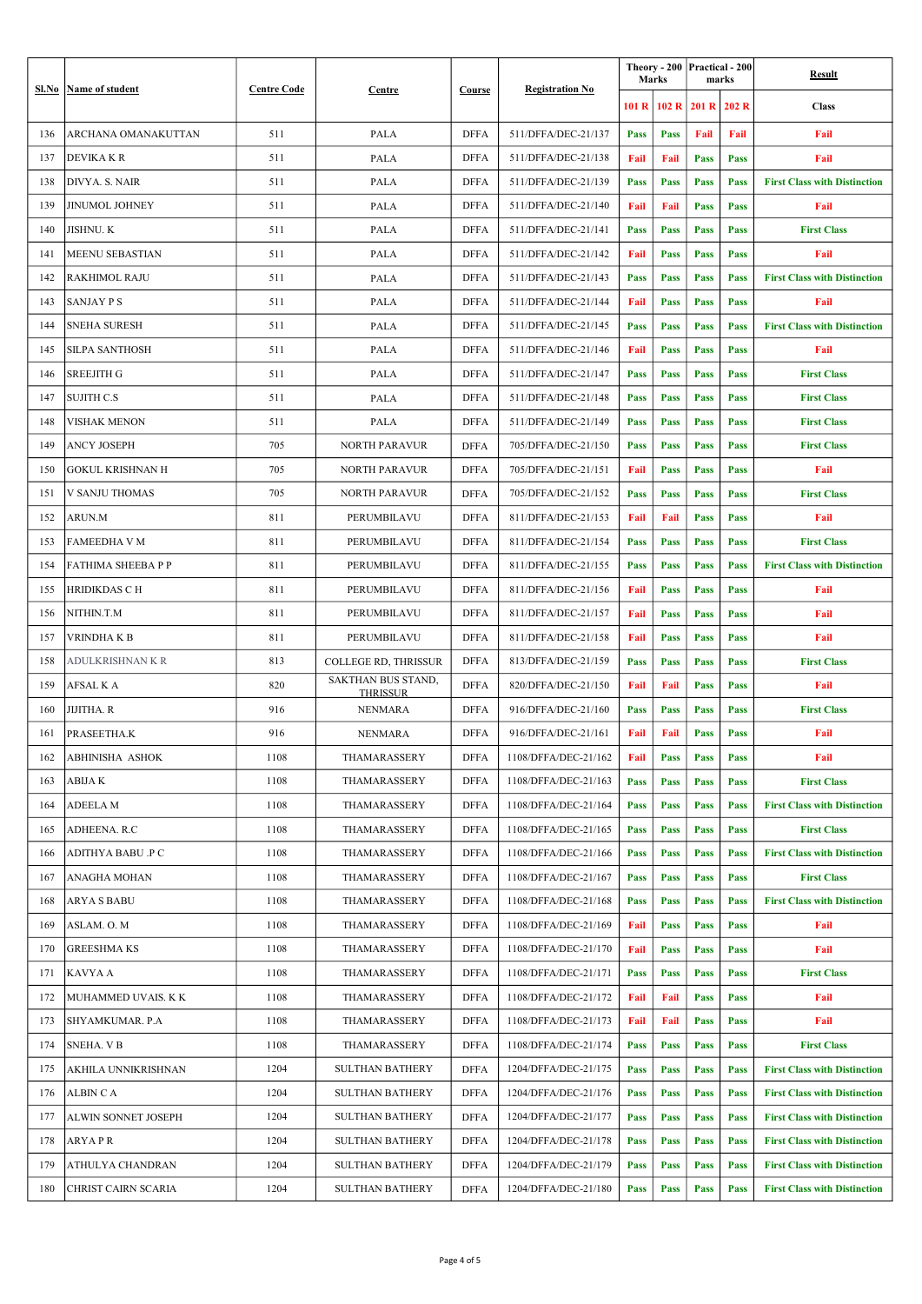|     | Sl.No   Name of student | <b>Centre Code</b> | Centre                     | Course      | <b>Registration No</b> | <b>Marks</b> |       | Theory - 200 Practical - 200<br>marks |      | Result                              |
|-----|-------------------------|--------------------|----------------------------|-------------|------------------------|--------------|-------|---------------------------------------|------|-------------------------------------|
|     |                         |                    |                            |             |                        | 101R         | 102 R | $201 R$ 202 R                         |      | <b>Class</b>                        |
| 136 | ARCHANA OMANAKUTTAN     | 511                | PALA                       | DFFA        | 511/DFFA/DEC-21/137    | Pass         | Pass  | Fail                                  | Fail | Fail                                |
| 137 | <b>DEVIKAKR</b>         | 511                | PALA                       | <b>DFFA</b> | 511/DFFA/DEC-21/138    | Fail         | Fail  | Pass                                  | Pass | Fail                                |
| 138 | DIVYA. S. NAIR          | 511                | PALA                       | <b>DFFA</b> | 511/DFFA/DEC-21/139    | Pass         | Pass  | Pass                                  | Pass | <b>First Class with Distinction</b> |
| 139 | <b>JINUMOL JOHNEY</b>   | 511                | PALA                       | <b>DFFA</b> | 511/DFFA/DEC-21/140    | Fail         | Fail  | Pass                                  | Pass | Fail                                |
| 140 | <b>JISHNU.K</b>         | 511                | PALA                       | <b>DFFA</b> | 511/DFFA/DEC-21/141    | Pass         | Pass  | Pass                                  | Pass | <b>First Class</b>                  |
| 141 | MEENU SEBASTIAN         | 511                | PALA                       | <b>DFFA</b> | 511/DFFA/DEC-21/142    | Fail         | Pass  | Pass                                  | Pass | Fail                                |
| 142 | <b>RAKHIMOL RAJU</b>    | 511                | PALA                       | <b>DFFA</b> | 511/DFFA/DEC-21/143    | Pass         | Pass  | Pass                                  | Pass | <b>First Class with Distinction</b> |
| 143 | <b>SANJAY P S</b>       | 511                | PALA                       | <b>DFFA</b> | 511/DFFA/DEC-21/144    | Fail         | Pass  | Pass                                  | Pass | Fail                                |
| 144 | <b>SNEHA SURESH</b>     | 511                | PALA                       | <b>DFFA</b> | 511/DFFA/DEC-21/145    | Pass         | Pass  | Pass                                  | Pass | <b>First Class with Distinction</b> |
| 145 | SILPA SANTHOSH          | 511                | PALA                       | DFFA        | 511/DFFA/DEC-21/146    | Fail         | Pass  | Pass                                  | Pass | Fail                                |
| 146 | SREEJITH G              | 511                | PALA                       | <b>DFFA</b> | 511/DFFA/DEC-21/147    | Pass         | Pass  | Pass                                  | Pass | <b>First Class</b>                  |
| 147 | <b>SUJITH C.S</b>       | 511                | PALA                       | <b>DFFA</b> | 511/DFFA/DEC-21/148    | <b>Pass</b>  | Pass  | Pass                                  | Pass | <b>First Class</b>                  |
| 148 | <b>VISHAK MENON</b>     | 511                | PALA                       | <b>DFFA</b> | 511/DFFA/DEC-21/149    | Pass         | Pass  | Pass                                  | Pass | <b>First Class</b>                  |
| 149 | ANCY JOSEPH             | 705                | NORTH PARAVUR              | <b>DFFA</b> | 705/DFFA/DEC-21/150    | Pass         | Pass  | Pass                                  | Pass | <b>First Class</b>                  |
| 150 | <b>GOKUL KRISHNAN H</b> | 705                | <b>NORTH PARAVUR</b>       | <b>DFFA</b> | 705/DFFA/DEC-21/151    | Fail         | Pass  | Pass                                  | Pass | Fail                                |
| 151 | V SANJU THOMAS          | 705                | <b>NORTH PARAVUR</b>       | <b>DFFA</b> | 705/DFFA/DEC-21/152    | <b>Pass</b>  | Pass  | Pass                                  | Pass | <b>First Class</b>                  |
| 152 | ARUN.M                  | 811                | PERUMBILAVU                | <b>DFFA</b> | 811/DFFA/DEC-21/153    | Fail         | Fail  | Pass                                  | Pass | Fail                                |
| 153 | FAMEEDHA V M            | 811                | PERUMBILAVU                | <b>DFFA</b> | 811/DFFA/DEC-21/154    | <b>Pass</b>  | Pass  | Pass                                  | Pass | <b>First Class</b>                  |
| 154 | FATHIMA SHEEBA P P      | 811                | PERUMBILAVU                | <b>DFFA</b> | 811/DFFA/DEC-21/155    | <b>Pass</b>  | Pass  | Pass                                  | Pass | <b>First Class with Distinction</b> |
| 155 | <b>HRIDIKDAS C H</b>    | 811                | PERUMBILAVU                | <b>DFFA</b> | 811/DFFA/DEC-21/156    | Fail         | Pass  | Pass                                  | Pass | Fail                                |
| 156 | NITHIN.T.M              | 811                | PERUMBILAVU                | <b>DFFA</b> | 811/DFFA/DEC-21/157    | Fail         | Pass  | Pass                                  | Pass | Fail                                |
| 157 | VRINDHA K B             | 811                | PERUMBILAVU                | DFFA        | 811/DFFA/DEC-21/158    | Fail         | Pass  | Pass                                  | Pass | Fail                                |
| 158 | <b>ADULKRISHNAN K R</b> | 813                | COLLEGE RD, THRISSUR       | DFFA        | 813/DFFA/DEC-21/159    | Pass         | Pass  | Pass                                  | Pass | <b>First Class</b>                  |
| 159 | AFSAL K A               | 820                | SAKTHAN BUS STAND,         | <b>DFFA</b> | 820/DFFA/DEC-21/150    | Fail         | Fail  | Pass                                  | Pass | Fail                                |
| 160 | JIJITHA. R              | 916                | THRISSUR<br><b>NENMARA</b> | <b>DFFA</b> | 916/DFFA/DEC-21/160    | <b>Pass</b>  | Pass  | Pass                                  | Pass | <b>First Class</b>                  |
| 161 | PRASEETHA.K             | 916                | <b>NENMARA</b>             | <b>DFFA</b> | 916/DFFA/DEC-21/161    | Fail         | Fail  | Pass                                  | Pass | Fail                                |
| 162 | ABHINISHA ASHOK         | 1108               | THAMARASSERY               | DFFA        | 1108/DFFA/DEC-21/162   | Fail         | Pass  | Pass                                  | Pass | Fail                                |
| 163 | <b>ABIJA K</b>          | 1108               | THAMARASSERY               | <b>DFFA</b> | 1108/DFFA/DEC-21/163   | <b>Pass</b>  | Pass  | Pass                                  | Pass | <b>First Class</b>                  |
| 164 | ADEELA M                | 1108               | THAMARASSERY               | <b>DFFA</b> | 1108/DFFA/DEC-21/164   | Pass         | Pass  | Pass                                  | Pass | <b>First Class with Distinction</b> |
| 165 | ADHEENA. R.C            | 1108               | THAMARASSERY               | <b>DFFA</b> | 1108/DFFA/DEC-21/165   | Pass         | Pass  | Pass                                  | Pass | <b>First Class</b>                  |
| 166 | ADITHYA BABU .P C       | 1108               | THAMARASSERY               | <b>DFFA</b> | 1108/DFFA/DEC-21/166   | Pass         | Pass  | Pass                                  | Pass | <b>First Class with Distinction</b> |
| 167 | ANAGHA MOHAN            | 1108               | THAMARASSERY               | <b>DFFA</b> | 1108/DFFA/DEC-21/167   | Pass         | Pass  | Pass                                  | Pass | <b>First Class</b>                  |
| 168 | <b>ARYA S BABU</b>      | 1108               | THAMARASSERY               | <b>DFFA</b> | 1108/DFFA/DEC-21/168   | Pass         | Pass  | Pass                                  | Pass | <b>First Class with Distinction</b> |
| 169 | ASLAM. O. M             | 1108               | THAMARASSERY               | <b>DFFA</b> | 1108/DFFA/DEC-21/169   | Fail         | Pass  | Pass                                  | Pass | Fail                                |
| 170 | <b>GREESHMAKS</b>       | 1108               | THAMARASSERY               | <b>DFFA</b> | 1108/DFFA/DEC-21/170   | Fail         | Pass  | Pass                                  | Pass | Fail                                |
| 171 | KAVYA A                 | 1108               | THAMARASSERY               | <b>DFFA</b> | 1108/DFFA/DEC-21/171   | Pass         | Pass  | Pass                                  | Pass | <b>First Class</b>                  |
| 172 | MUHAMMED UVAIS. K K     | 1108               | THAMARASSERY               | <b>DFFA</b> | 1108/DFFA/DEC-21/172   | Fail         | Fail  | Pass                                  | Pass | Fail                                |
| 173 | SHYAMKUMAR. P.A         | 1108               | THAMARASSERY               | <b>DFFA</b> | 1108/DFFA/DEC-21/173   | Fail         | Fail  | Pass                                  | Pass | Fail                                |
| 174 | <b>SNEHA. V B</b>       | 1108               | THAMARASSERY               | <b>DFFA</b> | 1108/DFFA/DEC-21/174   | Pass         | Pass  | Pass                                  | Pass | <b>First Class</b>                  |
| 175 | AKHILA UNNIKRISHNAN     | 1204               | SULTHAN BATHERY            | <b>DFFA</b> | 1204/DFFA/DEC-21/175   | Pass         | Pass  | Pass                                  | Pass | <b>First Class with Distinction</b> |
| 176 | ALBIN C A               | 1204               | <b>SULTHAN BATHERY</b>     | <b>DFFA</b> | 1204/DFFA/DEC-21/176   | Pass         | Pass  | Pass                                  | Pass | <b>First Class with Distinction</b> |
| 177 | ALWIN SONNET JOSEPH     | 1204               | SULTHAN BATHERY            | <b>DFFA</b> | 1204/DFFA/DEC-21/177   | Pass         | Pass  | Pass                                  | Pass | <b>First Class with Distinction</b> |
| 178 | ARYA P R                | 1204               | <b>SULTHAN BATHERY</b>     | <b>DFFA</b> | 1204/DFFA/DEC-21/178   | <b>Pass</b>  | Pass  | Pass                                  | Pass | <b>First Class with Distinction</b> |
| 179 | ATHULYA CHANDRAN        | 1204               | <b>SULTHAN BATHERY</b>     | <b>DFFA</b> | 1204/DFFA/DEC-21/179   | Pass         | Pass  | Pass                                  | Pass | <b>First Class with Distinction</b> |
|     | CHRIST CAIRN SCARIA     | 1204               | <b>SULTHAN BATHERY</b>     |             | 1204/DFFA/DEC-21/180   |              |       |                                       | Pass | <b>First Class with Distinction</b> |
| 180 |                         |                    |                            | <b>DFFA</b> |                        | Pass         | Pass  | Pass                                  |      |                                     |